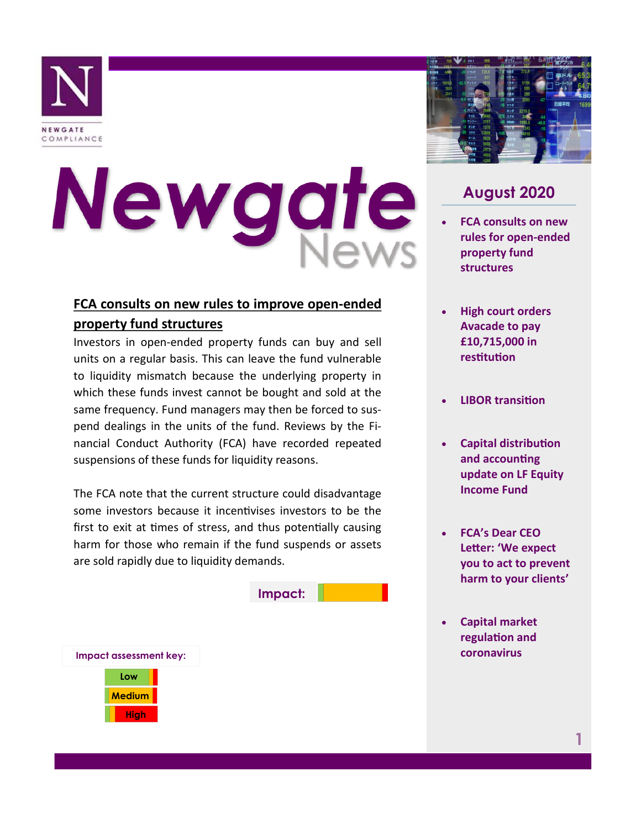

# Newgate

# **FCA consults on new rules to improve open-ended property fund structures**

Investors in open-ended property funds can buy and sell units on a regular basis. This can leave the fund vulnerable to liquidity mismatch because the underlying property in which these funds invest cannot be bought and sold at the same frequency. Fund managers may then be forced to suspend dealings in the units of the fund. Reviews by the Financial Conduct Authority (FCA) have recorded repeated suspensions of these funds for liquidity reasons.

The FCA note that the current structure could disadvantage some investors because it incentivises investors to be the first to exit at times of stress, and thus potentially causing harm for those who remain if the fund suspends or assets are sold rapidly due to liquidity demands.





# **August 2020**

- **FCA consults on new rules for open-ended property fund structures**
- **High court orders Avacade to pay £10,715,000 in restitution**
- **LIBOR transition**
- **Capital distribution and accounting update on LF Equity Income Fund**
- **FCA's Dear CEO Letter: 'We expect you to act to prevent harm to your clients'**
- **Capital market regulation and coronavirus**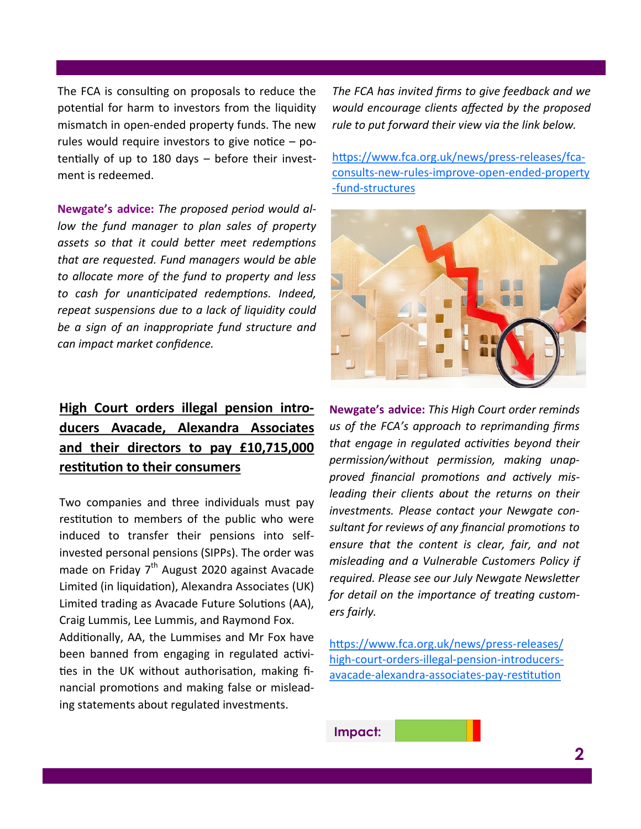The FCA is consulting on proposals to reduce the potential for harm to investors from the liquidity mismatch in open-ended property funds. The new rules would require investors to give notice  $-$  potentially of up to 180 days – before their investment is redeemed.

**Newgate's advice:** *The proposed period would allow the fund manager to plan sales of property assets so that it could better meet redemptions that are requested. Fund managers would be able to allocate more of the fund to property and less to cash for unanticipated redemptions. Indeed, repeat suspensions due to a lack of liquidity could be a sign of an inappropriate fund structure and can impact market confidence.* 

# **High Court orders illegal pension introducers Avacade, Alexandra Associates and their directors to pay £10,715,000 restitution to their consumers**

Two companies and three individuals must pay restitution to members of the public who were induced to transfer their pensions into selfinvested personal pensions (SIPPs). The order was made on Friday  $7<sup>th</sup>$  August 2020 against Avacade Limited (in liquidation), Alexandra Associates (UK) Limited trading as Avacade Future Solutions (AA), Craig Lummis, Lee Lummis, and Raymond Fox.

Additionally, AA, the Lummises and Mr Fox have been banned from engaging in regulated activities in the UK without authorisation, making financial promotions and making false or misleading statements about regulated investments.

*The FCA has invited firms to give feedback and we would encourage clients affected by the proposed rule to put forward their view via the link below.*

[https://www.fca.org.uk/news/press](https://www.fca.org.uk/news/press-releases/fca-consults-new-rules-improve-open-ended-property-fund-structures)-releases/fcaconsults-new-rules-improve-open-ended-[property](https://www.fca.org.uk/news/press-releases/fca-consults-new-rules-improve-open-ended-property-fund-structures) -fund-[structures](https://www.fca.org.uk/news/press-releases/fca-consults-new-rules-improve-open-ended-property-fund-structures)



**Newgate's advice:** *This High Court order reminds us of the FCA's approach to reprimanding firms that engage in regulated activities beyond their permission/without permission, making unapproved financial promotions and actively misleading their clients about the returns on their investments. Please contact your Newgate consultant for reviews of any financial promotions to ensure that the content is clear, fair, and not misleading and a Vulnerable Customers Policy if required. Please see our July Newgate Newsletter for detail on the importance of treating customers fairly.*

[https://www.fca.org.uk/news/press](https://www.fca.org.uk/news/press-releases/high-court-orders-illegal-pension-introducers-avacade-alexandra-associates-pay-restitution)-releases/ high-court-orders-illegal-pension-[introducers](https://www.fca.org.uk/news/press-releases/high-court-orders-illegal-pension-introducers-avacade-alexandra-associates-pay-restitution)avacade-alexandra-associates-pay-[restitution](https://www.fca.org.uk/news/press-releases/high-court-orders-illegal-pension-introducers-avacade-alexandra-associates-pay-restitution)

**Impact:**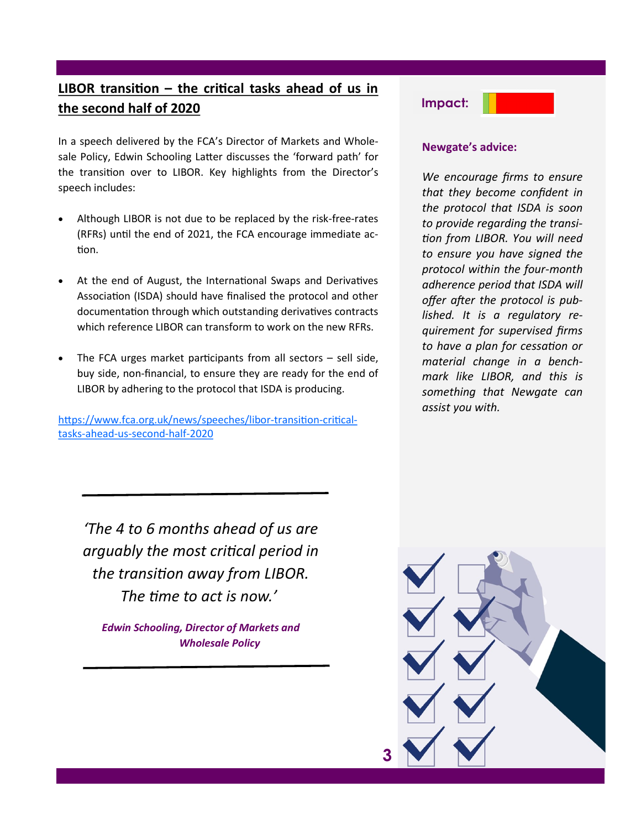# **LIBOR transition – the critical tasks ahead of us in the second half of 2020**

In a speech delivered by the FCA's Director of Markets and Wholesale Policy, Edwin Schooling Latter discusses the 'forward path' for the transition over to LIBOR. Key highlights from the Director's speech includes:

- Although LIBOR is not due to be replaced by the risk-free-rates (RFRs) until the end of 2021, the FCA encourage immediate action.
- At the end of August, the International Swaps and Derivatives Association (ISDA) should have finalised the protocol and other documentation through which outstanding derivatives contracts which reference LIBOR can transform to work on the new RFRs.
- The FCA urges market participants from all sectors  $-$  sell side, buy side, non-financial, to ensure they are ready for the end of LIBOR by adhering to the protocol that ISDA is producing.

[https://www.fca.org.uk/news/speeches/libor](https://www.fca.org.uk/news/speeches/libor-transition-critical-tasks-ahead-us-second-half-2020)-transition-criticaltasks-ahead-us-[second](https://www.fca.org.uk/news/speeches/libor-transition-critical-tasks-ahead-us-second-half-2020)-half-2020



#### **Newgate's advice:**

*We encourage firms to ensure that they become confident in the protocol that ISDA is soon to provide regarding the transition from LIBOR. You will need to ensure you have signed the protocol within the four-month adherence period that ISDA will offer after the protocol is published. It is a regulatory requirement for supervised firms to have a plan for cessation or material change in a benchmark like LIBOR, and this is something that Newgate can assist you with.* 

*'The 4 to 6 months ahead of us are arguably the most critical period in the transition away from LIBOR. The time to act is now.'*

*Edwin Schooling, Director of Markets and Wholesale Policy*

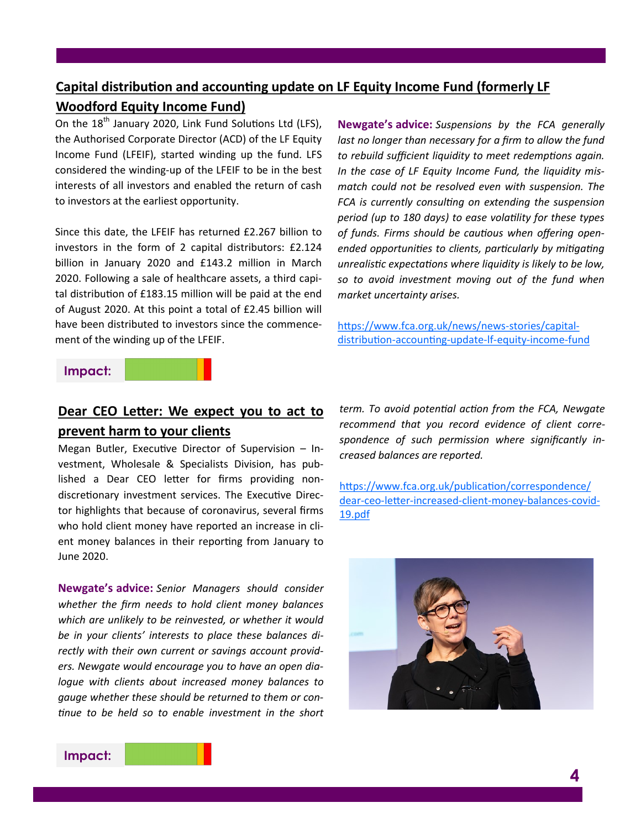## **Capital distribution and accounting update on LF Equity Income Fund (formerly LF Woodford Equity Income Fund)**

On the  $18<sup>th</sup>$  January 2020, Link Fund Solutions Ltd (LFS), the Authorised Corporate Director (ACD) of the LF Equity Income Fund (LFEIF), started winding up the fund. LFS considered the winding-up of the LFEIF to be in the best interests of all investors and enabled the return of cash to investors at the earliest opportunity.

Since this date, the LFEIF has returned £2.267 billion to investors in the form of 2 capital distributors: £2.124 billion in January 2020 and £143.2 million in March 2020. Following a sale of healthcare assets, a third capital distribution of £183.15 million will be paid at the end of August 2020. At this point a total of £2.45 billion will have been distributed to investors since the commencement of the winding up of the LFEIF.

**Newgate's advice:** *Suspensions by the FCA generally*  last no longer than necessary for a firm to allow the fund *to rebuild sufficient liquidity to meet redemptions again. In the case of LF Equity Income Fund, the liquidity mismatch could not be resolved even with suspension. The FCA is currently consulting on extending the suspension period (up to 180 days) to ease volatility for these types of funds. Firms should be cautious when offering openended opportunities to clients, particularly by mitigating unrealistic expectations where liquidity is likely to be low, so to avoid investment moving out of the fund when market uncertainty arises.*

[https://www.fca.org.uk/news/news](https://www.fca.org.uk/news/news-stories/capital-distribution-accounting-update-lf-equity-income-fund)-stories/capital[distribution](https://www.fca.org.uk/news/news-stories/capital-distribution-accounting-update-lf-equity-income-fund)-accounting-update-lf-equity-income-fund

#### **Impact:**



## **Dear CEO Letter: We expect you to act to prevent harm to your clients**

Megan Butler, Executive Director of Supervision – Investment, Wholesale & Specialists Division, has published a Dear CEO letter for firms providing nondiscretionary investment services. The Executive Director highlights that because of coronavirus, several firms who hold client money have reported an increase in client money balances in their reporting from January to June 2020.

**Newgate's advice:** *Senior Managers should consider whether the firm needs to hold client money balances which are unlikely to be reinvested, or whether it would be in your clients' interests to place these balances directly with their own current or savings account providers. Newgate would encourage you to have an open dialogue with clients about increased money balances to gauge whether these should be returned to them or continue to be held so to enable investment in the short*  *term. To avoid potential action from the FCA, Newgate recommend that you record evidence of client correspondence of such permission where significantly increased balances are reported.*

[https://www.fca.org.uk/publication/correspondence/](https://www.fca.org.uk/publication/correspondence/dear-ceo-letter-increased-client-money-balances-covid-19.pdf) dear-ceo-letter-[increased](https://www.fca.org.uk/publication/correspondence/dear-ceo-letter-increased-client-money-balances-covid-19.pdf)-client-money-balances-covid-[19.pdf](https://www.fca.org.uk/publication/correspondence/dear-ceo-letter-increased-client-money-balances-covid-19.pdf)



## **Impact:**

**4**